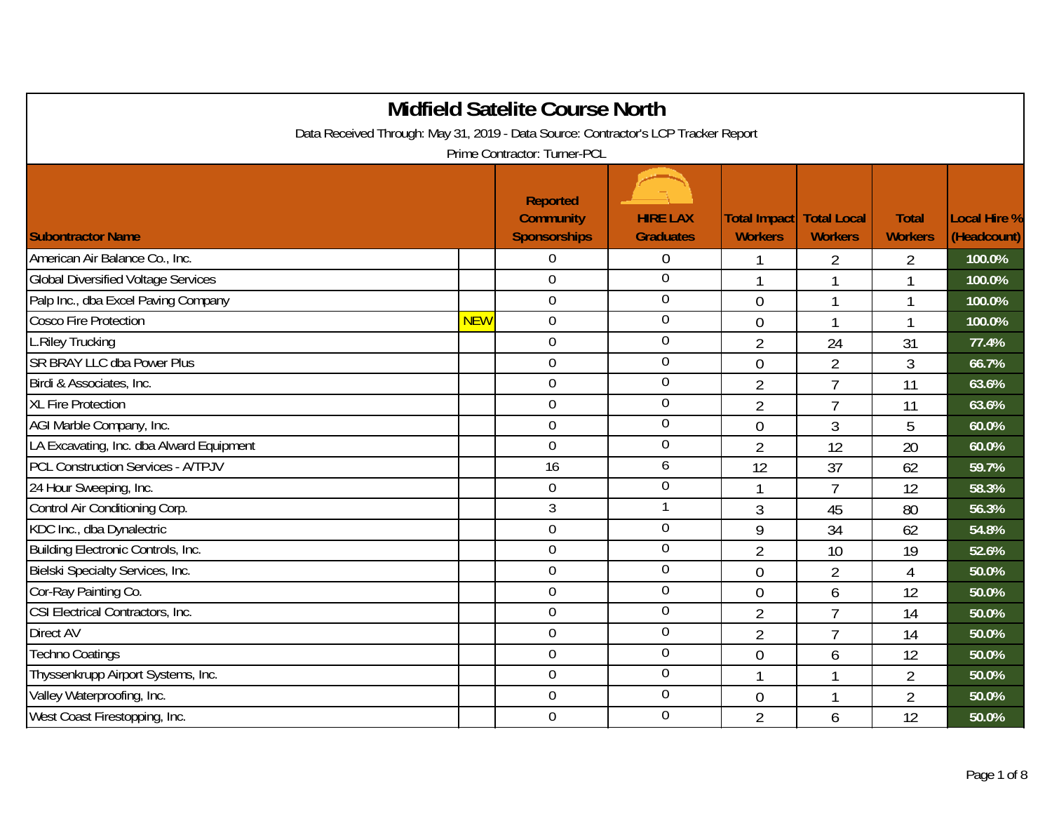|                                                                                    |            | <b>Midfield Satelite Course North</b>                      |                                     |                                |                                      |                                |                                    |
|------------------------------------------------------------------------------------|------------|------------------------------------------------------------|-------------------------------------|--------------------------------|--------------------------------------|--------------------------------|------------------------------------|
| Data Received Through: May 31, 2019 - Data Source: Contractor's LCP Tracker Report |            |                                                            |                                     |                                |                                      |                                |                                    |
|                                                                                    |            | Prime Contractor: Turner-PCL                               |                                     |                                |                                      |                                |                                    |
| <b>Subontractor Name</b>                                                           |            | <b>Reported</b><br><b>Community</b><br><b>Sponsorships</b> | <b>HIRE LAX</b><br><b>Graduates</b> | Total Impact<br><b>Workers</b> | <b>Total Local</b><br><b>Workers</b> | <b>Total</b><br><b>Workers</b> | <b>Local Hire %</b><br>(Headcount) |
| American Air Balance Co., Inc.                                                     |            | $\mathbf 0$                                                | $\theta$                            |                                | 2                                    | $\overline{2}$                 | 100.0%                             |
| <b>Global Diversified Voltage Services</b>                                         |            | $\boldsymbol{0}$                                           | $\mathbf 0$                         | $\mathbf{1}$                   | $\mathbf{1}$                         | 1                              | 100.0%                             |
| Palp Inc., dba Excel Paving Company                                                |            | $\overline{0}$                                             | $\boldsymbol{0}$                    | $\overline{0}$                 | $\mathbf{1}$                         | 1                              | 100.0%                             |
| Cosco Fire Protection                                                              | <b>NEW</b> | $\mathbf 0$                                                | $\overline{0}$                      | $\overline{0}$                 | $\mathbf{1}$                         | 1                              | 100.0%                             |
| L.Riley Trucking                                                                   |            | $\mathbf 0$                                                | $\mathbf 0$                         | $\overline{2}$                 | 24                                   | 31                             | 77.4%                              |
| SR BRAY LLC dba Power Plus                                                         |            | $\overline{0}$                                             | $\overline{0}$                      | $\mathbf 0$                    | $\overline{2}$                       | 3                              | 66.7%                              |
| Birdi & Associates, Inc.                                                           |            | $\mathbf 0$                                                | $\boldsymbol{0}$                    | $\overline{2}$                 | $\overline{7}$                       | 11                             | 63.6%                              |
| <b>XL Fire Protection</b>                                                          |            | $\overline{0}$                                             | $\overline{0}$                      | $\overline{2}$                 | $\overline{7}$                       | 11                             | 63.6%                              |
| AGI Marble Company, Inc.                                                           |            | $\mathbf 0$                                                | $\mathbf 0$                         | $\overline{0}$                 | $\mathfrak{Z}$                       | 5                              | 60.0%                              |
| LA Excavating, Inc. dba Alward Equipment                                           |            | $\overline{0}$                                             | $\mathbf 0$                         | $\overline{2}$                 | 12                                   | 20                             | 60.0%                              |
| <b>PCL Construction Services - A/TPJV</b>                                          |            | 16                                                         | 6                                   | 12                             | 37                                   | 62                             | 59.7%                              |
| 24 Hour Sweeping, Inc.                                                             |            | $\boldsymbol{0}$                                           | $\boldsymbol{0}$                    | $\mathbf 1$                    | $\overline{7}$                       | 12                             | 58.3%                              |
| Control Air Conditioning Corp.                                                     |            | 3                                                          |                                     | 3                              | 45                                   | 80                             | 56.3%                              |
| KDC Inc., dba Dynalectric                                                          |            | $\mathbf 0$                                                | $\mathbf 0$                         | 9                              | 34                                   | 62                             | 54.8%                              |
| Building Electronic Controls, Inc.                                                 |            | $\mathbf 0$                                                | $\mathbf 0$                         | $\overline{2}$                 | 10                                   | 19                             | 52.6%                              |
| Bielski Specialty Services, Inc.                                                   |            | $\boldsymbol{0}$                                           | $\mathbf 0$                         | $\theta$                       | $\overline{2}$                       | $\overline{4}$                 | 50.0%                              |
| Cor-Ray Painting Co.                                                               |            | $\overline{0}$                                             | $\mathbf 0$                         | $\overline{0}$                 | 6                                    | 12                             | 50.0%                              |
| CSI Electrical Contractors, Inc.                                                   |            | $\mathbf 0$                                                | $\mathbf 0$                         | $\overline{2}$                 | $\overline{7}$                       | 14                             | 50.0%                              |
| Direct AV                                                                          |            | $\mathbf 0$                                                | $\mathbf 0$                         | $\overline{2}$                 | $\overline{7}$                       | 14                             | 50.0%                              |
| <b>Techno Coatings</b>                                                             |            | $\overline{0}$                                             | $\boldsymbol{0}$                    | $\mathbf 0$                    | 6                                    | 12                             | 50.0%                              |
| Thyssenkrupp Airport Systems, Inc.                                                 |            | $\mathbf 0$                                                | $\mathbf 0$                         | $\mathbf 1$                    | $\mathbf{1}$                         | $\overline{2}$                 | 50.0%                              |
| Valley Waterproofing, Inc.                                                         |            | $\boldsymbol{0}$                                           | $\mathbf 0$                         | $\theta$                       | $\mathbf{1}$                         | 2                              | 50.0%                              |
| West Coast Firestopping, Inc.                                                      |            | $\mathbf 0$                                                | $\mathbf 0$                         | $\overline{2}$                 | 6                                    | 12                             | 50.0%                              |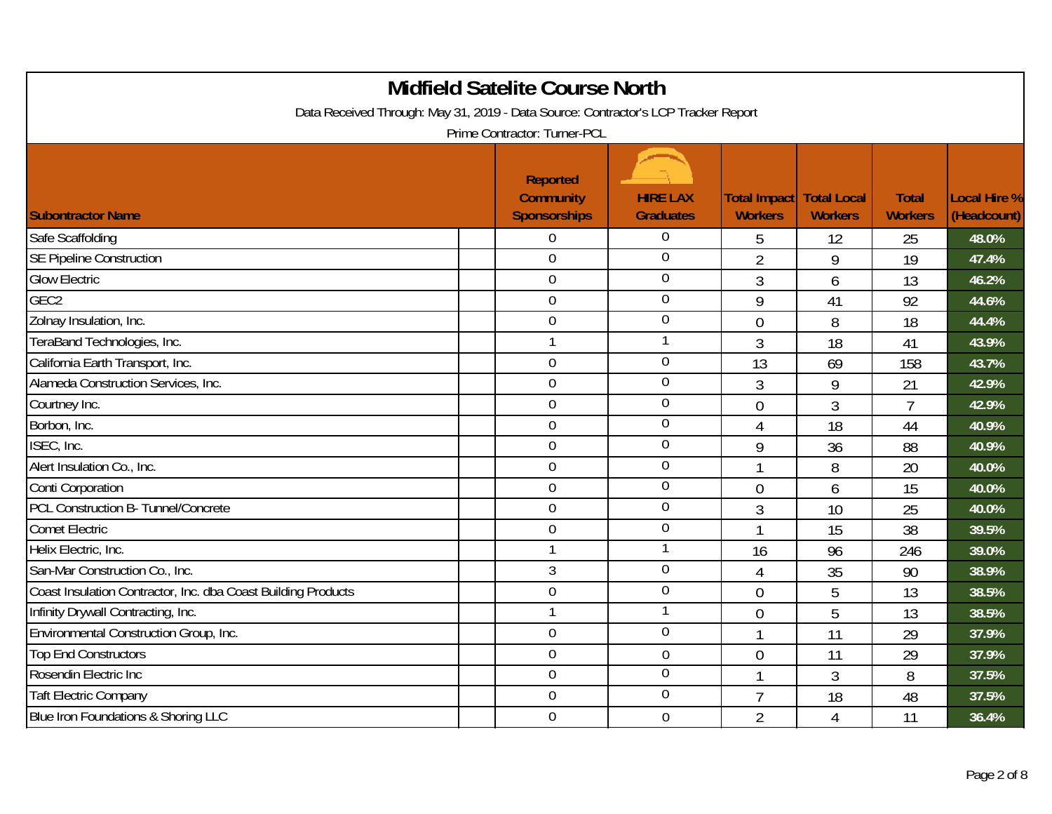| <b>Midfield Satelite Course North</b><br>Data Received Through: May 31, 2019 - Data Source: Contractor's LCP Tracker Report<br>Prime Contractor: Turner-PCL |  |                                                            |                                     |                                       |                                      |                                |                             |  |
|-------------------------------------------------------------------------------------------------------------------------------------------------------------|--|------------------------------------------------------------|-------------------------------------|---------------------------------------|--------------------------------------|--------------------------------|-----------------------------|--|
| <b>Subontractor Name</b>                                                                                                                                    |  | <b>Reported</b><br><b>Community</b><br><b>Sponsorships</b> | <b>HIRE LAX</b><br><b>Graduates</b> | <b>Total Impact</b><br><b>Workers</b> | <b>Total Local</b><br><b>Workers</b> | <b>Total</b><br><b>Workers</b> | Local Hire %<br>(Headcount) |  |
| Safe Scaffolding                                                                                                                                            |  | $\overline{0}$                                             | $\mathbf 0$                         | 5                                     | 12                                   | 25                             | 48.0%                       |  |
| <b>SE Pipeline Construction</b>                                                                                                                             |  | $\mathbf 0$                                                | $\overline{0}$                      | $\overline{2}$                        | 9                                    | 19                             | 47.4%                       |  |
| <b>Glow Electric</b>                                                                                                                                        |  | $\mathbf 0$                                                | $\mathbf 0$                         | $\mathfrak{Z}$                        | 6                                    | 13                             | 46.2%                       |  |
| GEC <sub>2</sub>                                                                                                                                            |  | $\mathbf 0$                                                | $\boldsymbol{0}$                    | 9                                     | 41                                   | 92                             | 44.6%                       |  |
| Zolnay Insulation, Inc.                                                                                                                                     |  | $\mathbf 0$                                                | $\overline{0}$                      | $\overline{0}$                        | 8                                    | 18                             | 44.4%                       |  |
| TeraBand Technologies, Inc.                                                                                                                                 |  | $\mathbf{1}$                                               |                                     | $\mathfrak{Z}$                        | 18                                   | 41                             | 43.9%                       |  |
| California Earth Transport, Inc.                                                                                                                            |  | $\mathbf 0$                                                | $\mathbf 0$                         | 13                                    | 69                                   | 158                            | 43.7%                       |  |
| Alameda Construction Services, Inc.                                                                                                                         |  | $\mathbf 0$                                                | $\mathbf 0$                         | $\mathfrak{Z}$                        | 9                                    | 21                             | 42.9%                       |  |
| Courtney Inc.                                                                                                                                               |  | $\mathbf 0$                                                | $\boldsymbol{0}$                    | $\overline{0}$                        | 3                                    | 7                              | 42.9%                       |  |
| Borbon, Inc.                                                                                                                                                |  | $\overline{0}$                                             | $\overline{0}$                      | $\overline{4}$                        | 18                                   | 44                             | 40.9%                       |  |
| ISEC, Inc.                                                                                                                                                  |  | $\mathbf 0$                                                | $\mathbf 0$                         | 9                                     | 36                                   | 88                             | 40.9%                       |  |
| Alert Insulation Co., Inc.                                                                                                                                  |  | $\overline{0}$                                             | $\mathbf 0$                         | $\mathbf{1}$                          | 8                                    | 20                             | 40.0%                       |  |
| Conti Corporation                                                                                                                                           |  | $\mathbf 0$                                                | $\mathbf 0$                         | $\theta$                              | 6                                    | 15                             | 40.0%                       |  |
| PCL Construction B- Tunnel/Concrete                                                                                                                         |  | $\mathbf 0$                                                | $\boldsymbol{0}$                    | $\mathfrak{Z}$                        | 10                                   | 25                             | 40.0%                       |  |
| <b>Comet Electric</b>                                                                                                                                       |  | $\mathbf 0$                                                | $\mathbf 0$                         | $\mathbf{1}$                          | 15                                   | 38                             | 39.5%                       |  |
| Helix Electric, Inc.                                                                                                                                        |  | $\mathbf{1}$                                               | 1                                   | 16                                    | 96                                   | 246                            | 39.0%                       |  |
| San-Mar Construction Co., Inc.                                                                                                                              |  | 3                                                          | $\mathbf 0$                         | $\overline{4}$                        | 35                                   | 90                             | 38.9%                       |  |
| Coast Insulation Contractor, Inc. dba Coast Building Products                                                                                               |  | $\mathbf 0$                                                | $\mathbf 0$                         | $\theta$                              | 5                                    | 13                             | 38.5%                       |  |
| Infinity Drywall Contracting, Inc.                                                                                                                          |  | $\mathbf{1}$                                               | $\mathbf{1}$                        | $\overline{0}$                        | 5                                    | 13                             | 38.5%                       |  |
| Environmental Construction Group, Inc.                                                                                                                      |  | $\boldsymbol{0}$                                           | $\overline{0}$                      | $\mathbf{1}$                          | 11                                   | 29                             | 37.9%                       |  |
| <b>Top End Constructors</b>                                                                                                                                 |  | $\overline{0}$                                             | $\mathbf 0$                         | $\overline{0}$                        | 11                                   | 29                             | 37.9%                       |  |
| Rosendin Electric Inc                                                                                                                                       |  | $\overline{0}$                                             | $\mathbf 0$                         | $\overline{1}$                        | 3                                    | 8                              | 37.5%                       |  |
| <b>Taft Electric Company</b>                                                                                                                                |  | $\boldsymbol{0}$                                           | $\mathbf 0$                         | $\overline{7}$                        | 18                                   | 48                             | 37.5%                       |  |
| Blue Iron Foundations & Shoring LLC                                                                                                                         |  | $\overline{0}$                                             | $\mathbf 0$                         | $\overline{2}$                        | $\overline{4}$                       | 11                             | 36.4%                       |  |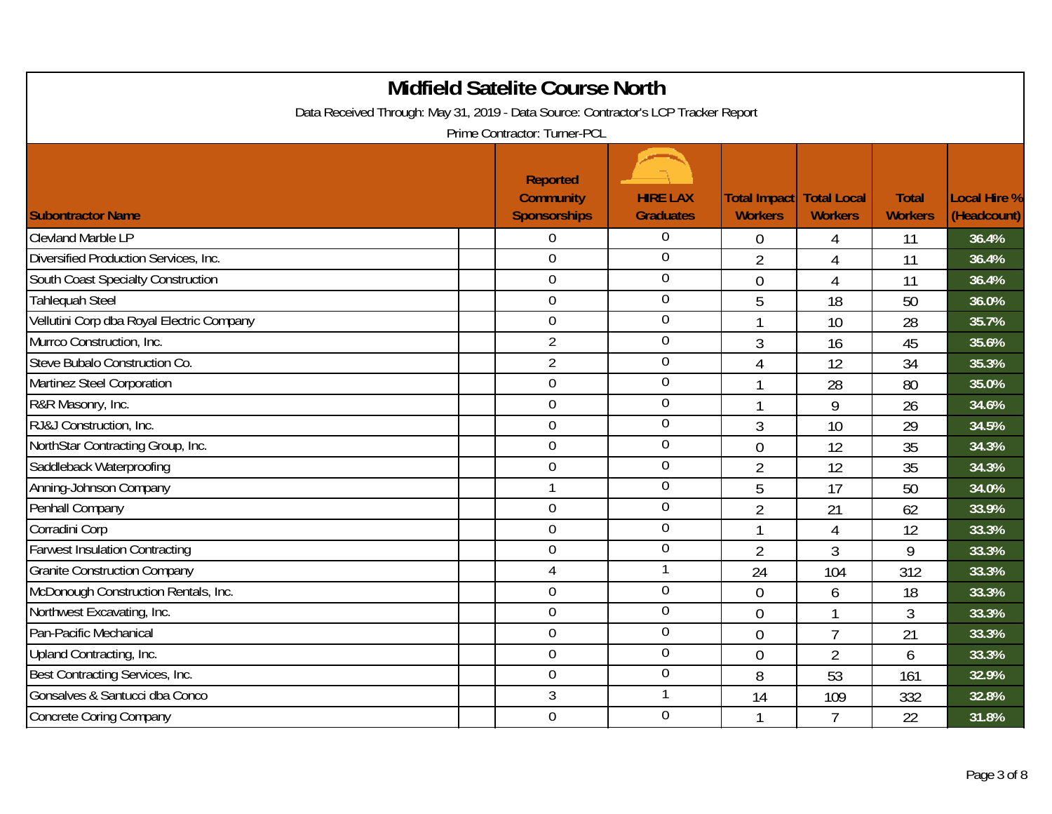| <b>Midfield Satelite Course North</b><br>Data Received Through: May 31, 2019 - Data Source: Contractor's LCP Tracker Report<br>Prime Contractor: Turner-PCL |                                                            |                                     |                                       |                                      |                                |                             |  |  |  |
|-------------------------------------------------------------------------------------------------------------------------------------------------------------|------------------------------------------------------------|-------------------------------------|---------------------------------------|--------------------------------------|--------------------------------|-----------------------------|--|--|--|
| <b>Subontractor Name</b>                                                                                                                                    | <b>Reported</b><br><b>Community</b><br><b>Sponsorships</b> | <b>HIRE LAX</b><br><b>Graduates</b> | <b>Total Impact</b><br><b>Workers</b> | <b>Total Local</b><br><b>Workers</b> | <b>Total</b><br><b>Workers</b> | Local Hire %<br>(Headcount) |  |  |  |
| <b>Clevland Marble LP</b>                                                                                                                                   | $\boldsymbol{0}$                                           | $\mathbf 0$                         | $\overline{0}$                        | 4                                    | 11                             | 36.4%                       |  |  |  |
| Diversified Production Services, Inc.                                                                                                                       | $\overline{0}$                                             | $\overline{0}$                      | $\overline{2}$                        | 4                                    | 11                             | 36.4%                       |  |  |  |
| South Coast Specialty Construction                                                                                                                          | $\boldsymbol{0}$                                           | $\mathbf 0$                         | $\theta$                              | 4                                    | 11                             | 36.4%                       |  |  |  |
| <b>Tahlequah Steel</b>                                                                                                                                      | $\overline{0}$                                             | $\overline{0}$                      | 5                                     | 18                                   | 50                             | 36.0%                       |  |  |  |
| Vellutini Corp dba Royal Electric Company                                                                                                                   | $\overline{0}$                                             | $\overline{0}$                      |                                       | 10                                   | 28                             | 35.7%                       |  |  |  |
| Murrco Construction, Inc.                                                                                                                                   | $\overline{2}$                                             | $\mathbf 0$                         | 3                                     | 16                                   | 45                             | 35.6%                       |  |  |  |
| Steve Bubalo Construction Co.                                                                                                                               | $\overline{2}$                                             | $\boldsymbol{0}$                    | $\overline{4}$                        | 12                                   | 34                             | 35.3%                       |  |  |  |
| Martinez Steel Corporation                                                                                                                                  | $\overline{0}$                                             | $\mathbf 0$                         | $\mathbf{1}$                          | 28                                   | 80                             | 35.0%                       |  |  |  |
| R&R Masonry, Inc.                                                                                                                                           | $\mathbf 0$                                                | $\mathbf 0$                         | -1                                    | 9                                    | 26                             | 34.6%                       |  |  |  |
| RJ&J Construction, Inc.                                                                                                                                     | $\mathbf 0$                                                | $\boldsymbol{0}$                    | 3                                     | 10                                   | 29                             | 34.5%                       |  |  |  |
| NorthStar Contracting Group, Inc.                                                                                                                           | $\overline{0}$                                             | $\overline{0}$                      | $\mathbf 0$                           | 12                                   | 35                             | 34.3%                       |  |  |  |
| Saddleback Waterproofing                                                                                                                                    | $\mathbf 0$                                                | $\mathbf 0$                         | $\overline{2}$                        | 12                                   | 35                             | 34.3%                       |  |  |  |
| Anning-Johnson Company                                                                                                                                      | $\mathbf{1}$                                               | $\boldsymbol{0}$                    | 5                                     | 17                                   | 50                             | 34.0%                       |  |  |  |
| Penhall Company                                                                                                                                             | $\overline{0}$                                             | $\mathbf 0$                         | $\overline{2}$                        | 21                                   | 62                             | 33.9%                       |  |  |  |
| Corradini Corp                                                                                                                                              | $\mathbf 0$                                                | $\mathbf 0$                         | -1                                    | 4                                    | 12                             | 33.3%                       |  |  |  |
| <b>Farwest Insulation Contracting</b>                                                                                                                       | $\mathbf 0$                                                | $\boldsymbol{0}$                    | $\overline{2}$                        | 3                                    | 9                              | 33.3%                       |  |  |  |
| <b>Granite Construction Company</b>                                                                                                                         | $\overline{4}$                                             | 1                                   | 24                                    | 104                                  | 312                            | 33.3%                       |  |  |  |
| McDonough Construction Rentals, Inc.                                                                                                                        | $\mathbf 0$                                                | $\mathbf 0$                         | $\overline{0}$                        | 6                                    | 18                             | 33.3%                       |  |  |  |
| Northwest Excavating, Inc.                                                                                                                                  | $\overline{0}$                                             | $\mathbf 0$                         | $\overline{0}$                        | 1                                    | 3                              | 33.3%                       |  |  |  |
| Pan-Pacific Mechanical                                                                                                                                      | $\mathbf 0$                                                | $\mathbf 0$                         | $\theta$                              | $\overline{1}$                       | 21                             | 33.3%                       |  |  |  |
| Upland Contracting, Inc.                                                                                                                                    | $\mathbf 0$                                                | $\mathbf 0$                         | $\overline{0}$                        | $\overline{2}$                       | 6                              | 33.3%                       |  |  |  |
| Best Contracting Services, Inc.                                                                                                                             | $\mathbf 0$                                                | $\boldsymbol{0}$                    | 8                                     | 53                                   | 161                            | 32.9%                       |  |  |  |
| Gonsalves & Santucci dba Conco                                                                                                                              | 3                                                          | 1                                   | 14                                    | 109                                  | 332                            | 32.8%                       |  |  |  |
| <b>Concrete Coring Company</b>                                                                                                                              | $\mathbf 0$                                                | $\overline{0}$                      |                                       | $\overline{7}$                       | 22                             | 31.8%                       |  |  |  |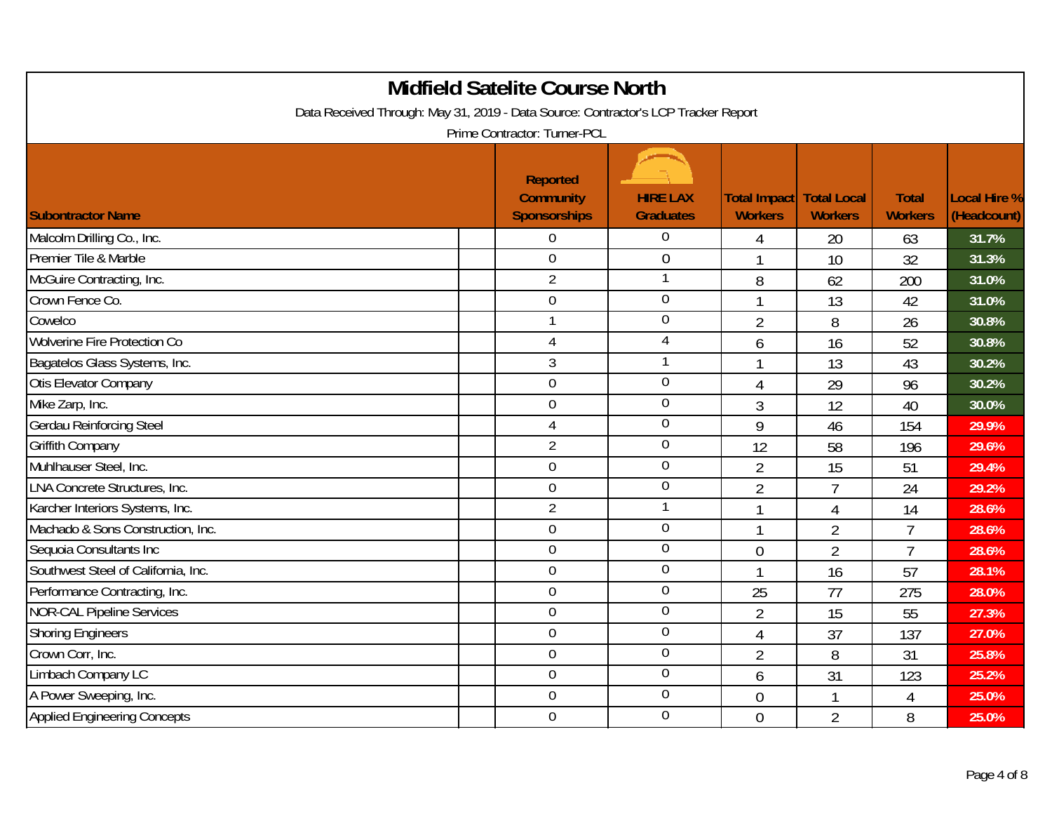| <b>Midfield Satelite Course North</b><br>Data Received Through: May 31, 2019 - Data Source: Contractor's LCP Tracker Report<br>Prime Contractor: Turner-PCL |  |                                                            |                                     |                                |                                      |                                |                                    |  |  |
|-------------------------------------------------------------------------------------------------------------------------------------------------------------|--|------------------------------------------------------------|-------------------------------------|--------------------------------|--------------------------------------|--------------------------------|------------------------------------|--|--|
| <b>Subontractor Name</b>                                                                                                                                    |  | <b>Reported</b><br><b>Community</b><br><b>Sponsorships</b> | <b>HIRE LAX</b><br><b>Graduates</b> | Total Impact<br><b>Workers</b> | <b>Total Local</b><br><b>Workers</b> | <b>Total</b><br><b>Workers</b> | <b>Local Hire %</b><br>(Headcount) |  |  |
| Malcolm Drilling Co., Inc.                                                                                                                                  |  | 0                                                          | $\Omega$                            | 4                              | 20                                   | 63                             | 31.7%                              |  |  |
| Premier Tile & Marble                                                                                                                                       |  | $\mathbf 0$                                                | $\mathbf 0$                         | $\mathbf{1}$                   | 10                                   | 32                             | 31.3%                              |  |  |
| McGuire Contracting, Inc.                                                                                                                                   |  | $\overline{2}$                                             | $\mathbf{1}$                        | 8                              | 62                                   | 200                            | 31.0%                              |  |  |
| Crown Fence Co.                                                                                                                                             |  | $\mathbf 0$                                                | $\overline{0}$                      | $\mathbf{1}$                   | 13                                   | 42                             | 31.0%                              |  |  |
| Cowelco                                                                                                                                                     |  | $\mathbf{1}$                                               | $\overline{0}$                      | $\overline{2}$                 | 8                                    | 26                             | 30.8%                              |  |  |
| <b>Wolverine Fire Protection Co</b>                                                                                                                         |  | 4                                                          | $\overline{4}$                      | 6                              | 16                                   | 52                             | 30.8%                              |  |  |
| Bagatelos Glass Systems, Inc.                                                                                                                               |  | 3                                                          | $\mathbf 1$                         | $\mathbf{1}$                   | 13                                   | 43                             | 30.2%                              |  |  |
| Otis Elevator Company                                                                                                                                       |  | $\overline{0}$                                             | $\overline{0}$                      | 4                              | 29                                   | 96                             | 30.2%                              |  |  |
| Mike Zarp, Inc.                                                                                                                                             |  | $\boldsymbol{0}$                                           | $\overline{0}$                      | 3                              | 12                                   | 40                             | 30.0%                              |  |  |
| Gerdau Reinforcing Steel                                                                                                                                    |  | $\overline{4}$                                             | $\overline{0}$                      | 9                              | 46                                   | 154                            | 29.9%                              |  |  |
| <b>Griffith Company</b>                                                                                                                                     |  | $\overline{2}$                                             | $\overline{0}$                      | 12                             | 58                                   | 196                            | 29.6%                              |  |  |
| Muhlhauser Steel, Inc.                                                                                                                                      |  | $\overline{0}$                                             | $\mathbf 0$                         | $\overline{2}$                 | 15                                   | 51                             | 29.4%                              |  |  |
| LNA Concrete Structures, Inc.                                                                                                                               |  | $\mathbf 0$                                                | $\overline{0}$                      | $\overline{2}$                 | $\overline{7}$                       | 24                             | 29.2%                              |  |  |
| Karcher Interiors Systems, Inc.                                                                                                                             |  | $\overline{2}$                                             | 1                                   | $\mathbf{1}$                   | 4                                    | 14                             | 28.6%                              |  |  |
| Machado & Sons Construction, Inc.                                                                                                                           |  | $\mathbf 0$                                                | $\mathbf 0$                         | $\mathbf{1}$                   | $\overline{2}$                       | $\overline{7}$                 | 28.6%                              |  |  |
| Sequoia Consultants Inc                                                                                                                                     |  | $\overline{0}$                                             | $\mathbf 0$                         | $\overline{0}$                 | $\overline{2}$                       | $\overline{7}$                 | 28.6%                              |  |  |
| Southwest Steel of California, Inc.                                                                                                                         |  | $\mathbf 0$                                                | $\overline{0}$                      | $\mathbf{1}$                   | 16                                   | 57                             | 28.1%                              |  |  |
| Performance Contracting, Inc.                                                                                                                               |  | $\mathbf 0$                                                | $\boldsymbol{0}$                    | 25                             | 77                                   | 275                            | 28.0%                              |  |  |
| <b>NOR-CAL Pipeline Services</b>                                                                                                                            |  | $\overline{0}$                                             | $\mathbf 0$                         | $\overline{2}$                 | 15                                   | 55                             | 27.3%                              |  |  |
| <b>Shoring Engineers</b>                                                                                                                                    |  | $\boldsymbol{0}$                                           | $\mathbf 0$                         | 4                              | 37                                   | 137                            | 27.0%                              |  |  |
| Crown Corr, Inc.                                                                                                                                            |  | $\mathbf 0$                                                | $\mathbf 0$                         | $\overline{2}$                 | 8                                    | 31                             | 25.8%                              |  |  |
| Limbach Company LC                                                                                                                                          |  | $\overline{0}$                                             | $\mathbf 0$                         | 6                              | 31                                   | 123                            | 25.2%                              |  |  |
| A Power Sweeping, Inc.                                                                                                                                      |  | $\boldsymbol{0}$                                           | $\mathbf 0$                         | $\overline{0}$                 | $\mathbf{1}$                         | $\overline{4}$                 | 25.0%                              |  |  |
| <b>Applied Engineering Concepts</b>                                                                                                                         |  | $\mathbf 0$                                                | $\overline{0}$                      | $\overline{0}$                 | $\overline{2}$                       | 8                              | 25.0%                              |  |  |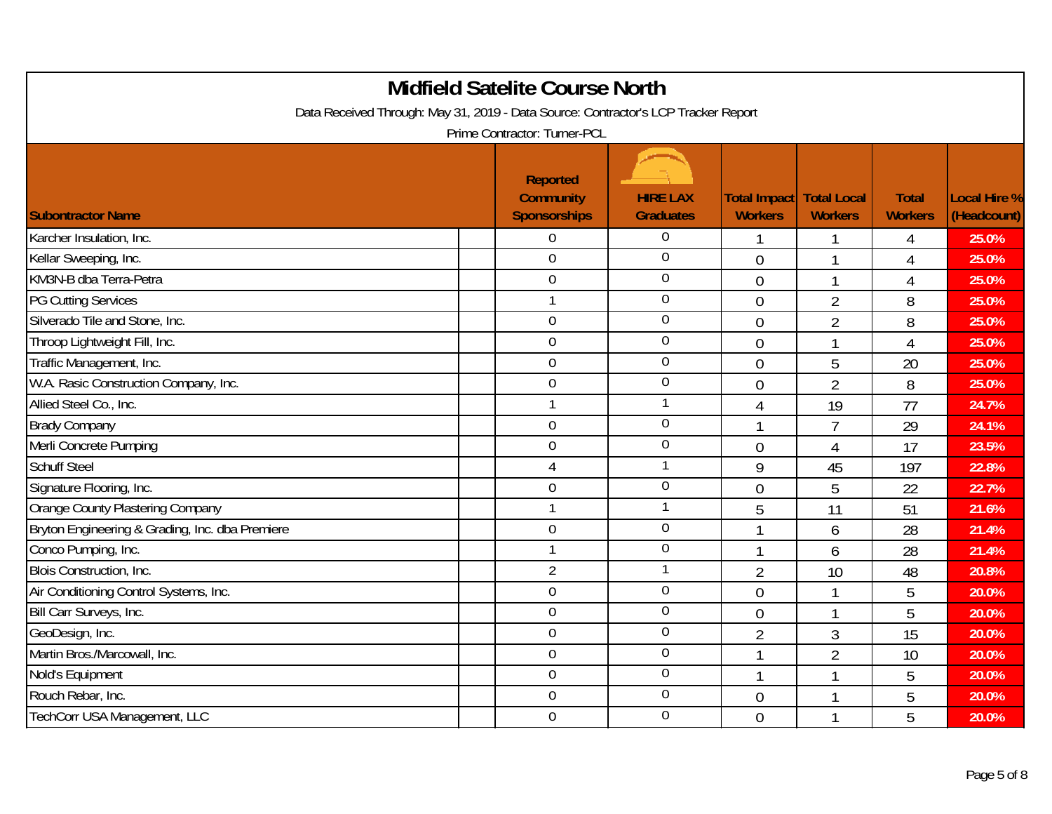| <b>Midfield Satelite Course North</b><br>Data Received Through: May 31, 2019 - Data Source: Contractor's LCP Tracker Report<br>Prime Contractor: Turner-PCL |  |                                                            |                                     |                                |                                      |                                |                                    |  |  |
|-------------------------------------------------------------------------------------------------------------------------------------------------------------|--|------------------------------------------------------------|-------------------------------------|--------------------------------|--------------------------------------|--------------------------------|------------------------------------|--|--|
| <b>Subontractor Name</b>                                                                                                                                    |  | <b>Reported</b><br><b>Community</b><br><b>Sponsorships</b> | <b>HIRE LAX</b><br><b>Graduates</b> | Total Impact<br><b>Workers</b> | <b>Total Local</b><br><b>Workers</b> | <b>Total</b><br><b>Workers</b> | <b>Local Hire %</b><br>(Headcount) |  |  |
| Karcher Insulation, Inc.                                                                                                                                    |  | 0                                                          | $\Omega$                            | 1                              | 1                                    | 4                              | 25.0%                              |  |  |
| Kellar Sweeping, Inc.                                                                                                                                       |  | $\overline{0}$                                             | $\overline{0}$                      | $\overline{0}$                 | $\mathbf{1}$                         | $\overline{4}$                 | 25.0%                              |  |  |
| KM3N-B dba Terra-Petra                                                                                                                                      |  | $\mathbf 0$                                                | $\theta$                            | $\overline{0}$                 | $\mathbf{1}$                         | $\overline{4}$                 | 25.0%                              |  |  |
| <b>PG Cutting Services</b>                                                                                                                                  |  | 1                                                          | $\overline{0}$                      | $\overline{0}$                 | $\overline{2}$                       | 8                              | 25.0%                              |  |  |
| Silverado Tile and Stone, Inc.                                                                                                                              |  | $\overline{0}$                                             | $\overline{0}$                      | $\overline{0}$                 | $\overline{2}$                       | 8                              | 25.0%                              |  |  |
| Throop Lightweight Fill, Inc.                                                                                                                               |  | $\mathbf 0$                                                | $\mathbf 0$                         | $\overline{0}$                 | $\mathbf{1}$                         | $\overline{4}$                 | 25.0%                              |  |  |
| Traffic Management, Inc.                                                                                                                                    |  | 0                                                          | $\theta$                            | $\overline{0}$                 | 5                                    | 20                             | 25.0%                              |  |  |
| W.A. Rasic Construction Company, Inc.                                                                                                                       |  | $\overline{0}$                                             | $\overline{0}$                      | $\overline{0}$                 | $\overline{2}$                       | 8                              | 25.0%                              |  |  |
| Allied Steel Co., Inc.                                                                                                                                      |  | 1                                                          |                                     | 4                              | 19                                   | 77                             | 24.7%                              |  |  |
| <b>Brady Company</b>                                                                                                                                        |  | 0                                                          | $\overline{0}$                      | $\mathbf{1}$                   | $\overline{7}$                       | 29                             | 24.1%                              |  |  |
| Merli Concrete Pumping                                                                                                                                      |  | $\overline{0}$                                             | $\overline{0}$                      | $\overline{0}$                 | $\overline{4}$                       | 17                             | 23.5%                              |  |  |
| <b>Schuff Steel</b>                                                                                                                                         |  | 4                                                          | $\overline{1}$                      | 9                              | 45                                   | 197                            | 22.8%                              |  |  |
| Signature Flooring, Inc.                                                                                                                                    |  | 0                                                          | $\overline{0}$                      | $\overline{0}$                 | 5                                    | 22                             | 22.7%                              |  |  |
| Orange County Plastering Company                                                                                                                            |  | 1                                                          | 1                                   | 5                              | 11                                   | 51                             | 21.6%                              |  |  |
| Bryton Engineering & Grading, Inc. dba Premiere                                                                                                             |  | $\mathbf 0$                                                | $\theta$                            | 1                              | 6                                    | 28                             | 21.4%                              |  |  |
| Conco Pumping, Inc.                                                                                                                                         |  | 1                                                          | $\overline{0}$                      | $\mathbf{1}$                   | 6                                    | 28                             | 21.4%                              |  |  |
| Blois Construction, Inc.                                                                                                                                    |  | $\overline{2}$                                             | $\mathbf 1$                         | $\overline{2}$                 | 10                                   | 48                             | 20.8%                              |  |  |
| Air Conditioning Control Systems, Inc.                                                                                                                      |  | $\overline{0}$                                             | $\theta$                            | $\overline{0}$                 | $\mathbf{1}$                         | 5                              | 20.0%                              |  |  |
| Bill Carr Surveys, Inc.                                                                                                                                     |  | $\overline{0}$                                             | $\overline{0}$                      | $\overline{0}$                 | $\mathbf{1}$                         | 5                              | 20.0%                              |  |  |
| GeoDesign, Inc.                                                                                                                                             |  | $0\,$                                                      | $\overline{0}$                      | $\overline{2}$                 | 3                                    | 15                             | 20.0%                              |  |  |
| Martin Bros./Marcowall, Inc.                                                                                                                                |  | 0                                                          | $\theta$                            | $\mathbf{1}$                   | $\overline{2}$                       | 10                             | 20.0%                              |  |  |
| Nold's Equipment                                                                                                                                            |  | $\overline{0}$                                             | $\mathbf 0$                         | $\mathbf{1}$                   | $\mathbf{1}$                         | 5                              | 20.0%                              |  |  |
| Rouch Rebar, Inc.                                                                                                                                           |  | $\boldsymbol{0}$                                           | $\theta$                            | $\overline{0}$                 | $\mathbf{1}$                         | 5                              | 20.0%                              |  |  |
| TechCorr USA Management, LLC                                                                                                                                |  | $\overline{0}$                                             | $\overline{0}$                      | $\overline{0}$                 | $\mathbf{1}$                         | 5                              | 20.0%                              |  |  |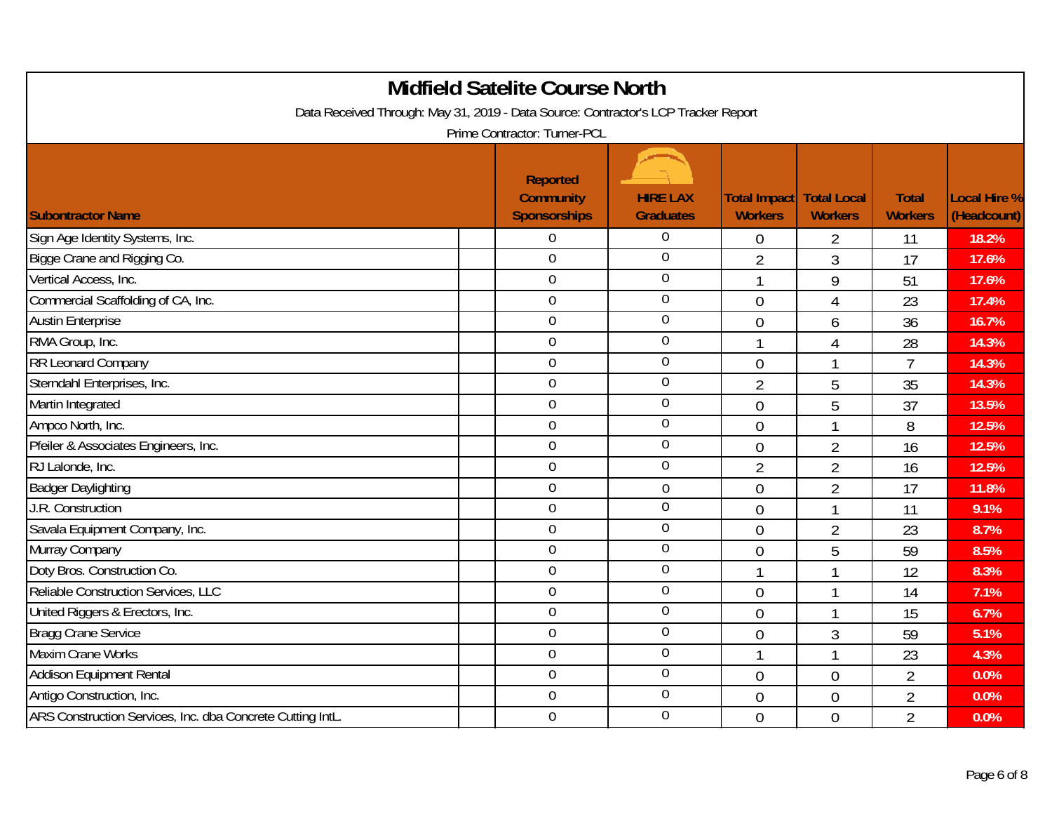| <b>Midfield Satelite Course North</b><br>Data Received Through: May 31, 2019 - Data Source: Contractor's LCP Tracker Report<br>Prime Contractor: Turner-PCL |                                                            |                                     |                                                     |                |                                |                                    |  |  |  |
|-------------------------------------------------------------------------------------------------------------------------------------------------------------|------------------------------------------------------------|-------------------------------------|-----------------------------------------------------|----------------|--------------------------------|------------------------------------|--|--|--|
| <b>Subontractor Name</b>                                                                                                                                    | <b>Reported</b><br><b>Community</b><br><b>Sponsorships</b> | <b>HIRE LAX</b><br><b>Graduates</b> | <b>Total Impact   Total Local</b><br><b>Workers</b> | <b>Workers</b> | <b>Total</b><br><b>Workers</b> | <b>Local Hire %</b><br>(Headcount) |  |  |  |
| Sign Age Identity Systems, Inc.                                                                                                                             | 0                                                          | $\overline{0}$                      | $\overline{0}$                                      | $\overline{2}$ | 11                             | 18.2%                              |  |  |  |
| Bigge Crane and Rigging Co.                                                                                                                                 | $\overline{0}$                                             | $\overline{0}$                      | $\overline{2}$                                      | 3              | 17                             | 17.6%                              |  |  |  |
| Vertical Access, Inc.                                                                                                                                       | $\mathbf 0$                                                | $\boldsymbol{0}$                    | $\mathbf{1}$                                        | 9              | 51                             | 17.6%                              |  |  |  |
| Commercial Scaffolding of CA, Inc.                                                                                                                          | $\boldsymbol{0}$                                           | $\mathbf 0$                         | $\overline{0}$                                      | $\overline{4}$ | 23                             | 17.4%                              |  |  |  |
| <b>Austin Enterprise</b>                                                                                                                                    | $\overline{0}$                                             | $\overline{0}$                      | $\overline{0}$                                      | 6              | 36                             | 16.7%                              |  |  |  |
| RMA Group, Inc.                                                                                                                                             | $\mathbf 0$                                                | $\mathbf 0$                         | $\mathbf{1}$                                        | 4              | 28                             | 14.3%                              |  |  |  |
| RR Leonard Company                                                                                                                                          | $\mathbf 0$                                                | $\overline{0}$                      | $\overline{0}$                                      | $\mathbf{1}$   | $\overline{7}$                 | 14.3%                              |  |  |  |
| Sterndahl Enterprises, Inc.                                                                                                                                 | $\mathbf 0$                                                | $\overline{0}$                      | $\overline{2}$                                      | 5              | 35                             | 14.3%                              |  |  |  |
| Martin Integrated                                                                                                                                           | $\mathbf 0$                                                | $\overline{0}$                      | $\overline{0}$                                      | 5              | 37                             | 13.5%                              |  |  |  |
| Ampco North, Inc.                                                                                                                                           | $\overline{0}$                                             | $\mathbf 0$                         | $\overline{0}$                                      | $\mathbf{1}$   | 8                              | 12.5%                              |  |  |  |
| Pfeiler & Associates Engineers, Inc.                                                                                                                        | $\overline{0}$                                             | $\overline{0}$                      | $\overline{0}$                                      | $\overline{2}$ | 16                             | 12.5%                              |  |  |  |
| RJ Lalonde, Inc.                                                                                                                                            | $\mathbf 0$                                                | $\overline{0}$                      | $\overline{2}$                                      | $\overline{2}$ | 16                             | 12.5%                              |  |  |  |
| <b>Badger Daylighting</b>                                                                                                                                   | $\overline{0}$                                             | $\overline{0}$                      | $\overline{0}$                                      | $\overline{2}$ | 17                             | 11.8%                              |  |  |  |
| J.R. Construction                                                                                                                                           | $\overline{0}$                                             | $\mathbf 0$                         | $\overline{0}$                                      | 1              | 11                             | 9.1%                               |  |  |  |
| Savala Equipment Company, Inc.                                                                                                                              | $\overline{0}$                                             | $\mathbf 0$                         | $\overline{0}$                                      | $\overline{2}$ | 23                             | 8.7%                               |  |  |  |
| Murray Company                                                                                                                                              | $\mathbf 0$                                                | $\mathbf 0$                         | $\overline{0}$                                      | 5              | 59                             | 8.5%                               |  |  |  |
| Doty Bros. Construction Co.                                                                                                                                 | $\mathbf 0$                                                | $\theta$                            | $\mathbf{1}$                                        | 1              | 12                             | 8.3%                               |  |  |  |
| Reliable Construction Services, LLC                                                                                                                         | $\overline{0}$                                             | $\mathbf 0$                         | $\overline{0}$                                      | 1              | 14                             | 7.1%                               |  |  |  |
| United Riggers & Erectors, Inc.                                                                                                                             | $\overline{0}$                                             | $\mathbf 0$                         | $\overline{0}$                                      | $\mathbf{1}$   | 15                             | 6.7%                               |  |  |  |
| <b>Bragg Crane Service</b>                                                                                                                                  | $\boldsymbol{0}$                                           | $\mathbf 0$                         | $\overline{0}$                                      | $\mathfrak{Z}$ | 59                             | 5.1%                               |  |  |  |
| <b>Maxim Crane Works</b>                                                                                                                                    | $\mathbf 0$                                                | $\boldsymbol{0}$                    | $\mathbf{1}$                                        | $\mathbf{1}$   | 23                             | 4.3%                               |  |  |  |
| <b>Addison Equipment Rental</b>                                                                                                                             | $\overline{0}$                                             | $\mathbf 0$                         | $\overline{0}$                                      | $\mathbf 0$    | $\overline{2}$                 | 0.0%                               |  |  |  |
| Antigo Construction, Inc.                                                                                                                                   | $\boldsymbol{0}$                                           | $\mathbf 0$                         | $\overline{0}$                                      | $\overline{0}$ | $\overline{2}$                 | 0.0%                               |  |  |  |
| ARS Construction Services, Inc. dba Concrete Cutting IntL.                                                                                                  | $\mathbf 0$                                                | $\overline{0}$                      | $\mathbf 0$                                         | $\overline{0}$ | $\overline{2}$                 | 0.0%                               |  |  |  |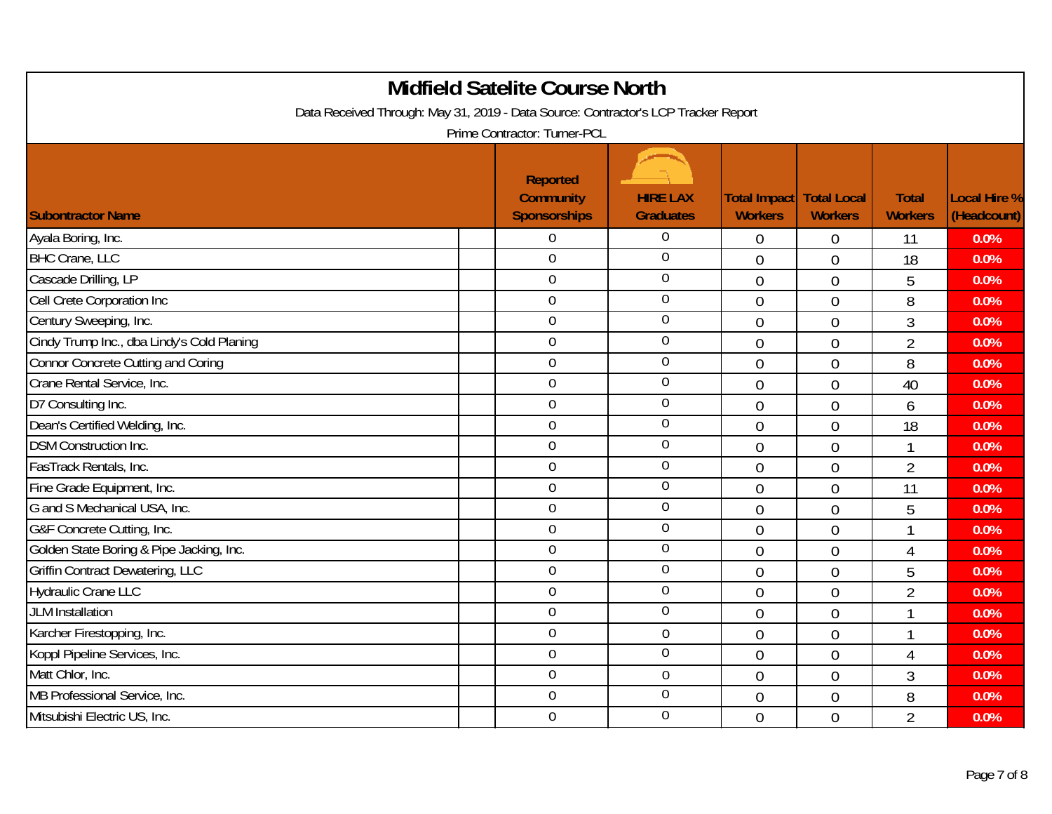| <b>Midfield Satelite Course North</b><br>Data Received Through: May 31, 2019 - Data Source: Contractor's LCP Tracker Report<br>Prime Contractor: Turner-PCL |                                                            |                                     |                                       |                                      |                                |                                    |  |  |  |
|-------------------------------------------------------------------------------------------------------------------------------------------------------------|------------------------------------------------------------|-------------------------------------|---------------------------------------|--------------------------------------|--------------------------------|------------------------------------|--|--|--|
| <b>Subontractor Name</b>                                                                                                                                    | <b>Reported</b><br><b>Community</b><br><b>Sponsorships</b> | <b>HIRE LAX</b><br><b>Graduates</b> | <b>Total Impact</b><br><b>Workers</b> | <b>Total Local</b><br><b>Workers</b> | <b>Total</b><br><b>Workers</b> | <b>Local Hire %</b><br>(Headcount) |  |  |  |
| Ayala Boring, Inc.                                                                                                                                          | 0                                                          | $\Omega$                            | $\mathbf 0$                           | $\mathbf 0$                          | 11                             | 0.0%                               |  |  |  |
| <b>BHC Crane, LLC</b>                                                                                                                                       | $\overline{0}$                                             | $\overline{0}$                      | $\overline{0}$                        | $\overline{0}$                       | 18                             | 0.0%                               |  |  |  |
| Cascade Drilling, LP                                                                                                                                        | $\boldsymbol{0}$                                           | $\theta$                            | $\overline{0}$                        | $\mathbf 0$                          | 5                              | 0.0%                               |  |  |  |
| Cell Crete Corporation Inc                                                                                                                                  | $\mathbf 0$                                                | $\overline{0}$                      | $\overline{0}$                        | $\overline{0}$                       | 8                              | 0.0%                               |  |  |  |
| Century Sweeping, Inc.                                                                                                                                      | $\overline{0}$                                             | $\overline{0}$                      | $\overline{0}$                        | $\overline{0}$                       | 3                              | 0.0%                               |  |  |  |
| Cindy Trump Inc., dba Lindy's Cold Planing                                                                                                                  | $\mathbf 0$                                                | $\mathbf 0$                         | $\overline{0}$                        | $\overline{0}$                       | $\overline{2}$                 | 0.0%                               |  |  |  |
| <b>Connor Concrete Cutting and Coring</b>                                                                                                                   | $\mathbf 0$                                                | $\mathbf 0$                         | $\overline{0}$                        | $\overline{0}$                       | 8                              | 0.0%                               |  |  |  |
| Crane Rental Service, Inc.                                                                                                                                  | $\overline{0}$                                             | $\overline{0}$                      | $\overline{0}$                        | $\mathbf{0}$                         | 40                             | 0.0%                               |  |  |  |
| D7 Consulting Inc.                                                                                                                                          | $\mathbf 0$                                                | $\mathbf 0$                         | $\mathbf 0$                           | $\overline{0}$                       | 6                              | 0.0%                               |  |  |  |
| Dean's Certified Welding, Inc.                                                                                                                              | 0                                                          | $\overline{0}$                      | $\overline{0}$                        | $\overline{0}$                       | 18                             | 0.0%                               |  |  |  |
| <b>DSM Construction Inc.</b>                                                                                                                                | 0                                                          | $\overline{0}$                      | $\theta$                              | $\overline{0}$                       | 1                              | 0.0%                               |  |  |  |
| FasTrack Rentals, Inc.                                                                                                                                      | 0                                                          | $\mathbf 0$                         | $\overline{0}$                        | $\mathbf{0}$                         | $\overline{2}$                 | 0.0%                               |  |  |  |
| Fine Grade Equipment, Inc.                                                                                                                                  | $\mathbf 0$                                                | $\overline{0}$                      | $\overline{0}$                        | $\overline{0}$                       | 11                             | 0.0%                               |  |  |  |
| G and S Mechanical USA, Inc.                                                                                                                                | $\overline{0}$                                             | $\overline{0}$                      | $\overline{0}$                        | $\mathbf{0}$                         | 5                              | 0.0%                               |  |  |  |
| G&F Concrete Cutting, Inc.                                                                                                                                  | 0                                                          | $\mathbf 0$                         | $\overline{0}$                        | $\overline{0}$                       | 1                              | 0.0%                               |  |  |  |
| Golden State Boring & Pipe Jacking, Inc.                                                                                                                    | 0                                                          | $\overline{0}$                      | $\overline{0}$                        | $\overline{0}$                       | $\overline{4}$                 | 0.0%                               |  |  |  |
| <b>Griffin Contract Dewatering, LLC</b>                                                                                                                     | 0                                                          | $\overline{0}$                      | $\overline{0}$                        | $\mathbf{0}$                         | 5                              | 0.0%                               |  |  |  |
| <b>Hydraulic Crane LLC</b>                                                                                                                                  | 0                                                          | $\overline{0}$                      | $\theta$                              | $\overline{0}$                       | $\overline{2}$                 | 0.0%                               |  |  |  |
| JLM Installation                                                                                                                                            | $\overline{0}$                                             | $\overline{0}$                      | $\overline{0}$                        | $\overline{0}$                       | 1                              | 0.0%                               |  |  |  |
| Karcher Firestopping, Inc.                                                                                                                                  | $\mathbf 0$                                                | $\boldsymbol{0}$                    | $\overline{0}$                        | $\boldsymbol{0}$                     | 1                              | 0.0%                               |  |  |  |
| Koppl Pipeline Services, Inc.                                                                                                                               | $\overline{0}$                                             | $\overline{0}$                      | $\overline{0}$                        | $\overline{0}$                       | 4                              | 0.0%                               |  |  |  |
| Matt Chlor, Inc.                                                                                                                                            | 0                                                          | $\overline{0}$                      | $\overline{0}$                        | $\overline{0}$                       | 3                              | 0.0%                               |  |  |  |
| MB Professional Service, Inc.                                                                                                                               | 0                                                          | $\mathbf 0$                         | $\overline{0}$                        | $\mathbf{0}$                         | 8                              | 0.0%                               |  |  |  |
| Mitsubishi Electric US, Inc.                                                                                                                                | 0                                                          | $\overline{0}$                      | $\overline{0}$                        | $\overline{0}$                       | $\overline{2}$                 | 0.0%                               |  |  |  |